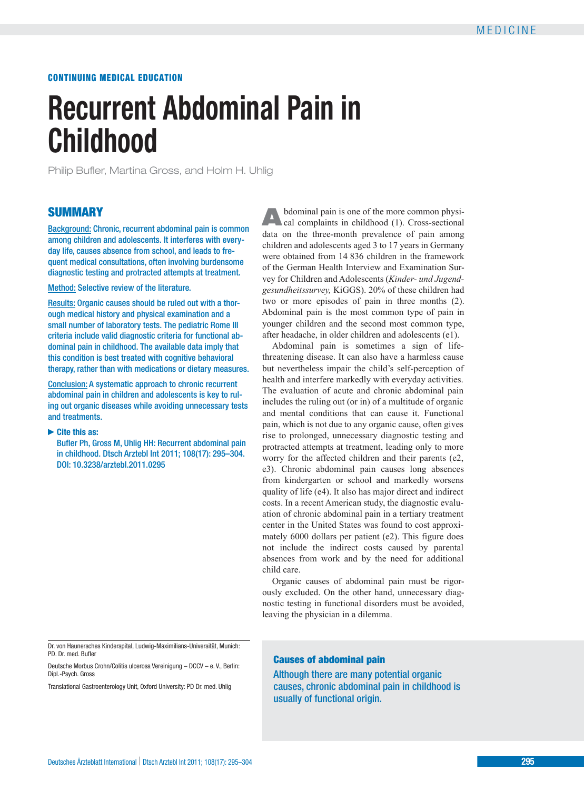# **CONTINUING MEDICAL EDUCATION**

# **Recurrent Abdominal Pain in Childhood**

Philip Bufler, Martina Gross, and Holm H. Uhlig

# **SUMMARY**

Background: Chronic, recurrent abdominal pain is common among children and adolescents. It interferes with everyday life, causes absence from school, and leads to frequent medical consultations, often involving burdensome diagnostic testing and protracted attempts at treatment.

Method: Selective review of the literature.

Results: Organic causes should be ruled out with a thorough medical history and physical examination and a small number of laboratory tests. The pediatric Rome III criteria include valid diagnostic criteria for functional abdominal pain in childhood. The available data imply that this condition is best treated with cognitive behavioral therapy, rather than with medications or dietary measures.

Conclusion: A systematic approach to chronic recurrent abdominal pain in children and adolescents is key to ruling out organic diseases while avoiding unnecessary tests and treatments.

**►Cite this as:**

Bufler Ph, Gross M, Uhlig HH: Recurrent abdominal pain in childhood. Dtsch Arztebl Int 2011; 108(17): 295–304. DOI: 10.3238/arztebl.2011.0295

**A** bdominal pain is one of the more common physical complaints in childhood (1). Cross-sectional data on the three-month prevalence of pain among children and adolescents aged 3 to 17 years in Germany were obtained from 14 836 children in the framework of the German Health Interview and Examination Survey for Children and Adolescents (*Kinder- und Jugendgesundheitssurvey,* KiGGS). 20% of these children had two or more episodes of pain in three months (2). Abdominal pain is the most common type of pain in younger children and the second most common type, after headache, in older children and adolescents (e1).

Abdominal pain is sometimes a sign of lifethreatening disease. It can also have a harmless cause but nevertheless impair the child's self-perception of health and interfere markedly with everyday activities. The evaluation of acute and chronic abdominal pain includes the ruling out (or in) of a multitude of organic and mental conditions that can cause it. Functional pain, which is not due to any organic cause, often gives rise to prolonged, unnecessary diagnostic testing and protracted attempts at treatment, leading only to more worry for the affected children and their parents (e2, e3). Chronic abdominal pain causes long absences from kindergarten or school and markedly worsens quality of life (e4). It also has major direct and indirect costs. In a recent American study, the diagnostic evaluation of chronic abdominal pain in a tertiary treatment center in the United States was found to cost approximately 6000 dollars per patient (e2). This figure does not include the indirect costs caused by parental absences from work and by the need for additional child care.

Organic causes of abdominal pain must be rigorously excluded. On the other hand, unnecessary diagnostic testing in functional disorders must be avoided, leaving the physician in a dilemma.

Dr. von Haunersches Kinderspital, Ludwig-Maximilians-Universität, Munich: PD. Dr. med. Bufle

Deutsche Morbus Crohn/Colitis ulcerosa Vereinigung – DCCV – e. V., Berlin: Dipl.-Psych. Gross

Translational Gastroenterology Unit, Oxford University: PD Dr. med. Uhlig

**Causes of abdominal pain**

Although there are many potential organic causes, chronic abdominal pain in childhood is usually of functional origin.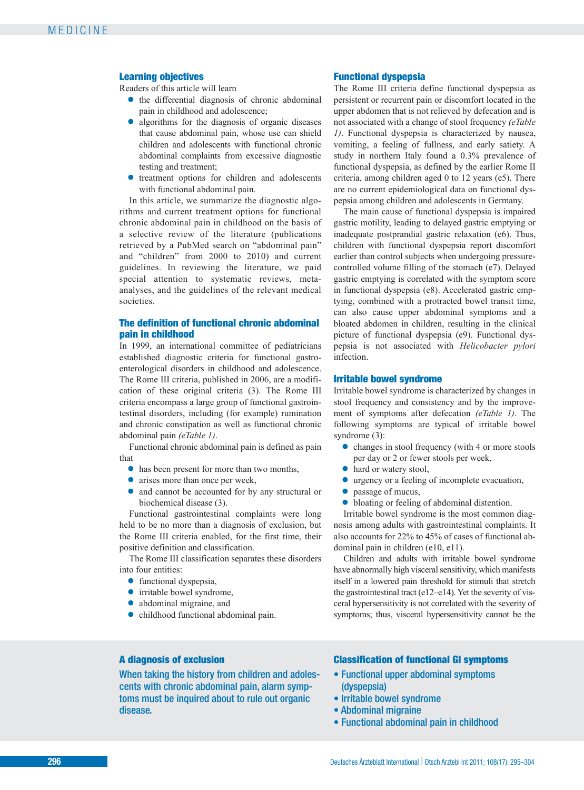## **Learning objectives**

Readers of this article will learn

- **●** the differential diagnosis of chronic abdominal pain in childhood and adolescence;
- **●** algorithms for the diagnosis of organic diseases that cause abdominal pain, whose use can shield children and adolescents with functional chronic abdominal complaints from excessive diagnostic testing and treatment;
- **●** treatment options for children and adolescents with functional abdominal pain.

In this article, we summarize the diagnostic algorithms and current treatment options for functional chronic abdominal pain in childhood on the basis of a selective review of the literature (publications retrieved by a PubMed search on "abdominal pain" and "children" from 2000 to 2010) and current guidelines. In reviewing the literature, we paid special attention to systematic reviews, meta analyses, and the guidelines of the relevant medical societies.

## **The definition of functional chronic abdominal pain in childhood**

In 1999, an international committee of pediatricians established diagnostic criteria for functional gastroenterological disorders in childhood and adolescence. The Rome III criteria, published in 2006, are a modification of these original criteria (3). The Rome III criteria encompass a large group of functional gastrointestinal disorders, including (for example) rumination and chronic constipation as well as functional chronic abdominal pain *(eTable 1)*.

Functional chronic abdominal pain is defined as pain that

- **●** has been present for more than two months,
- **●** arises more than once per week,
- **●** and cannot be accounted for by any structural or biochemical disease (3).

Functional gastrointestinal complaints were long held to be no more than a diagnosis of exclusion, but the Rome III criteria enabled, for the first time, their positive definition and classification.

The Rome III classification separates these disorders into four entities:

- **●** functional dyspepsia,
- **●** irritable bowel syndrome,
- **●** abdominal migraine, and
- **●** childhood functional abdominal pain.

# **Functional dyspepsia**

The Rome III criteria define functional dyspepsia as persistent or recurrent pain or discomfort located in the upper abdomen that is not relieved by defecation and is not associated with a change of stool frequency *(eTable 1)*. Functional dyspepsia is characterized by nausea, vomiting, a feeling of fullness, and early satiety. A study in northern Italy found a 0.3% prevalence of functional dyspepsia, as defined by the earlier Rome II criteria, among children aged 0 to 12 years (e5). There are no current epidemiological data on functional dyspepsia among children and adolescents in Germany.

The main cause of functional dyspepsia is impaired gastric motility, leading to delayed gastric emptying or inadequate postprandial gastric relaxation (e6). Thus, children with functional dyspepsia report discomfort earlier than control subjects when undergoing pressurecontrolled volume filling of the stomach (e7). Delayed gastric emptying is correlated with the symptom score in functional dyspepsia (e8). Accelerated gastric emptying, combined with a protracted bowel transit time, can also cause upper abdominal symptoms and a bloated abdomen in children, resulting in the clinical picture of functional dyspepsia (e9). Functional dyspepsia is not associated with *Helicobacter pylori*  infection.

## **Irritable bowel syndrome**

Irritable bowel syndrome is characterized by changes in stool frequency and consistency and by the improvement of symptoms after defecation *(eTable 1)*. The following symptoms are typical of irritable bowel syndrome (3):

- **●** changes in stool frequency (with 4 or more stools per day or 2 or fewer stools per week,
- **●** hard or watery stool,
- **●** urgency or a feeling of incomplete evacuation,
- **●** passage of mucus,
- **●** bloating or feeling of abdominal distention.

Irritable bowel syndrome is the most common diagnosis among adults with gastrointestinal complaints. It also accounts for 22% to 45% of cases of functional abdominal pain in children (e10, e11).

Children and adults with irritable bowel syndrome have abnormally high visceral sensitivity, which manifests itself in a lowered pain threshold for stimuli that stretch the gastrointestinal tract (e12–e14). Yet the severity of visceral hypersensitivity is not correlated with the severity of symptoms; thus, visceral hypersensitivity cannot be the

## **A diagnosis of exclusion**

When taking the history from children and adolescents with chronic abdominal pain, alarm symptoms must be inquired about to rule out organic disease.

# **Classification of functional GI symptoms**

- Functional upper abdominal symptoms (dyspepsia)
- Irritable bowel syndrome
- Abdominal migraine
- Functional abdominal pain in childhood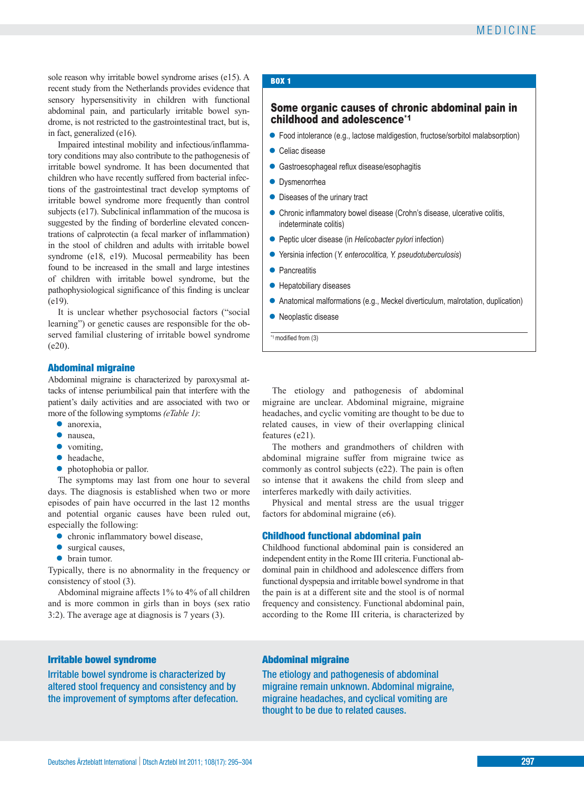sole reason why irritable bowel syndrome arises (e15). A recent study from the Netherlands provides evidence that sensory hypersensitivity in children with functional abdominal pain, and particularly irritable bowel syndrome, is not restricted to the gastrointestinal tract, but is, in fact, generalized (e16).

Impaired intestinal mobility and infectious/inflammatory conditions may also contribute to the pathogenesis of irritable bowel syndrome. It has been documented that children who have recently suffered from bacterial infections of the gastrointestinal tract develop symptoms of irritable bowel syndrome more frequently than control subjects (e17). Subclinical inflammation of the mucosa is suggested by the finding of borderline elevated concentrations of calprotectin (a fecal marker of inflammation) in the stool of children and adults with irritable bowel syndrome (e18, e19). Mucosal permeability has been found to be increased in the small and large intestines of children with irritable bowel syndrome, but the pathophysiological significance of this finding is unclear (e19).

It is unclear whether psychosocial factors ("social learning") or genetic causes are responsible for the observed familial clustering of irritable bowel syndrome (e20).

## **Abdominal migraine**

Abdominal migraine is characterized by paroxysmal attacks of intense periumbilical pain that interfere with the patient's daily activities and are associated with two or more of the following symptoms *(eTable 1)*:

- **●** anorexia,
- **●** nausea,
- **●** vomiting,
- **●** headache,
- **●** photophobia or pallor.

The symptoms may last from one hour to several days. The diagnosis is established when two or more episodes of pain have occurred in the last 12 months and potential organic causes have been ruled out, especially the following:

- **●** chronic inflammatory bowel disease,
- **●** surgical causes,
- **●** brain tumor.

Typically, there is no abnormality in the frequency or consistency of stool (3).

Abdominal migraine affects 1% to 4% of all children and is more common in girls than in boys (sex ratio 3:2). The average age at diagnosis is 7 years (3).

## **BOX 1**

# Some organic causes of chronic abdominal pain in childhood and adolescence\*1

- Food intolerance (e.g., lactose maldigestion, fructose/sorbitol malabsorption)
- **●** Celiac disease
- **●** Gastroesophageal reflux disease/esophagitis
- **●** Dysmenorrhea
- **●** Diseases of the urinary tract
- **●** Chronic inflammatory bowel disease (Crohn's disease, ulcerative colitis, indeterminate colitis)
- **●** Peptic ulcer disease (in *Helicobacter pylori* infection)
- **●** Yersinia infection (*Y. enterocolitica, Y. pseudotuberculosis*)
- **●** Pancreatitis
- **●** Hepatobiliary diseases
- **●** Anatomical malformations (e.g., Meckel diverticulum, malrotation, duplication)
- **●** Neoplastic disease

\*1 modified from (3)

The etiology and pathogenesis of abdominal migraine are unclear. Abdominal migraine, migraine headaches, and cyclic vomiting are thought to be due to related causes, in view of their overlapping clinical features (e21).

The mothers and grandmothers of children with abdominal migraine suffer from migraine twice as commonly as control subjects (e22). The pain is often so intense that it awakens the child from sleep and interferes markedly with daily activities.

Physical and mental stress are the usual trigger factors for abdominal migraine (e6).

## **Childhood functional abdominal pain**

Childhood functional abdominal pain is considered an independent entity in the Rome III criteria. Functional abdominal pain in childhood and adolescence differs from functional dyspepsia and irritable bowel syndrome in that the pain is at a different site and the stool is of normal frequency and consistency. Functional abdominal pain, according to the Rome III criteria, is characterized by

## **Irritable bowel syndrome**

Irritable bowel syndrome is characterized by altered stool frequency and consistency and by the improvement of symptoms after defecation.

# **Abdominal migraine**

The etiology and pathogenesis of abdominal migraine remain unknown. Abdominal migraine, migraine headaches, and cyclical vomiting are thought to be due to related causes.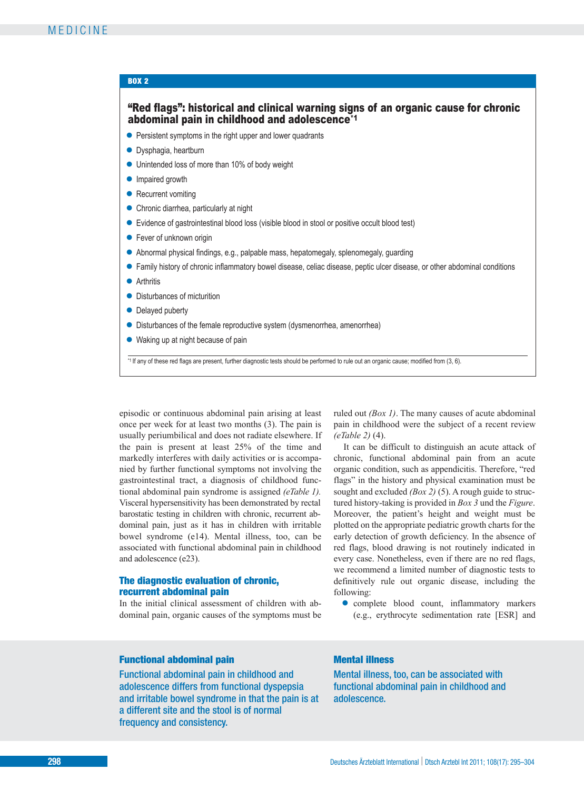## **BOX 2**

# "Red flags": historical and clinical warning signs of an organic cause for chronic abdominal pain in childhood and adolescence\*1

- **●** Persistent symptoms in the right upper and lower quadrants
- **●** Dysphagia, heartburn
- **●** Unintended loss of more than 10% of body weight
- **●** Impaired growth
- **●** Recurrent vomiting
- **●** Chronic diarrhea, particularly at night
- **●** Evidence of gastrointestinal blood loss (visible blood in stool or positive occult blood test)
- **●** Fever of unknown origin
- **●** Abnormal physical findings, e.g., palpable mass, hepatomegaly, splenomegaly, guarding
- **●** Family history of chronic inflammatory bowel disease, celiac disease, peptic ulcer disease, or other abdominal conditions
- **●** Arthritis
- Disturbances of micturition
- **●** Delayed puberty
- **●** Disturbances of the female reproductive system (dysmenorrhea, amenorrhea)
- **●** Waking up at night because of pain

\*1 If any of these red flags are present, further diagnostic tests should be performed to rule out an organic cause; modified from (3, 6).

episodic or continuous abdominal pain arising at least once per week for at least two months (3). The pain is usually periumbilical and does not radiate elsewhere. If the pain is present at least 25% of the time and markedly interferes with daily activities or is accompanied by further functional symptoms not involving the gastrointestinal tract, a diagnosis of childhood functional abdominal pain syndrome is assigned *(eTable 1).* Visceral hypersensitivity has been demonstrated by rectal barostatic testing in children with chronic, recurrent abdominal pain, just as it has in children with irritable bowel syndrome (e14). Mental illness, too, can be associated with functional abdominal pain in childhood and adolescence (e23).

## **The diagnostic evaluation of chronic, recurrent abdominal pain**

In the initial clinical assessment of children with abdominal pain, organic causes of the symptoms must be

ruled out *(Box 1)*. The many causes of acute abdominal pain in childhood were the subject of a recent review *(eTable 2)* (4).

It can be difficult to distinguish an acute attack of chronic, functional abdominal pain from an acute organic condition, such as appendicitis. Therefore, "red flags" in the history and physical examination must be sought and excluded *(Box 2)* (5). A rough guide to structured history-taking is provided in *Box 3* und the *Figure*. Moreover, the patient's height and weight must be plotted on the appropriate pediatric growth charts for the early detection of growth deficiency. In the absence of red flags, blood drawing is not routinely indicated in every case. Nonetheless, even if there are no red flags, we recommend a limited number of diagnostic tests to definitively rule out organic disease, including the following:

**●** complete blood count, inflammatory markers (e.g., erythrocyte sedimentation rate [ESR] and

## **Functional abdominal pain**

Functional abdominal pain in childhood and adolescence differs from functional dyspepsia and irritable bowel syndrome in that the pain is at a different site and the stool is of normal frequency and consistency.

## **Mental illness**

Mental illness, too, can be associated with functional abdominal pain in childhood and adolescence.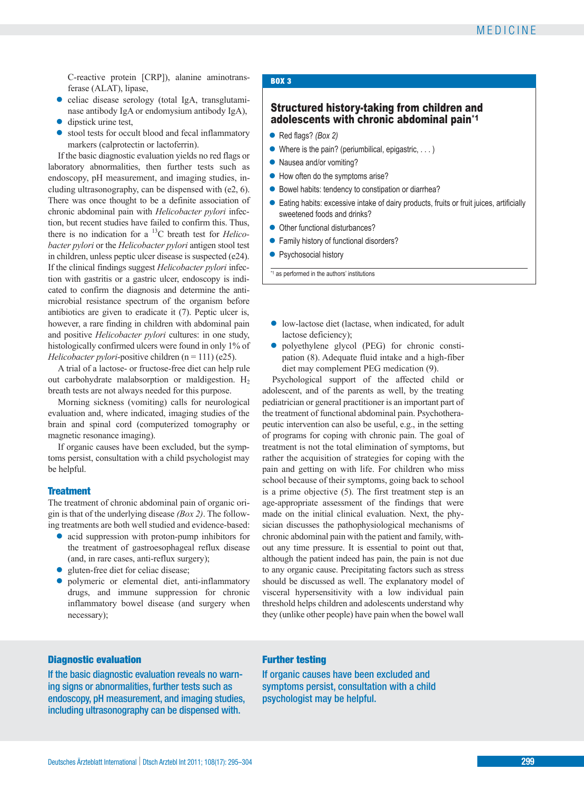C-reactive protein [CRP]), alanine aminotransferase (ALAT), lipase,

- **●** celiac disease serology (total IgA, transglutaminase antibody IgA or endomysium antibody IgA),
- **●** dipstick urine test,
- stool tests for occult blood and fecal inflammatory markers (calprotectin or lactoferrin).

If the basic diagnostic evaluation yields no red flags or laboratory abnormalities, then further tests such as endos copy, pH measurement, and imaging studies, including ultrasonography, can be dispensed with (e2, 6). There was once thought to be a definite association of chronic abdominal pain with *Helicobacter pylori* infection, but recent studies have failed to confirm this. Thus, there is no indication for a <sup>13</sup>C breath test for *Helicobacter pylori* or the *Helicobacter pylori* antigen stool test in children, unless peptic ulcer disease is suspected (e24). If the clinical findings suggest *Helicobacter pylori* infection with gastritis or a gastric ulcer, endoscopy is indicated to confirm the diagnosis and determine the antimicrobial resistance spectrum of the organism before antibiotics are given to eradicate it (7). Peptic ulcer is, however, a rare finding in children with abdominal pain and positive *Helicobacter pylori* cultures: in one study, histologically confirmed ulcers were found in only 1% of *Helicobacter pylori-positive children* (n = 111) (e25).

A trial of a lactose- or fructose-free diet can help rule out carbohydrate malabsorption or maldigestion.  $H_2$ breath tests are not always needed for this purpose.

Morning sickness (vomiting) calls for neurological evaluation and, where indicated, imaging studies of the brain and spinal cord (computerized tomography or magnetic resonance imaging).

If organic causes have been excluded, but the symptoms persist, consultation with a child psychologist may be helpful.

## **Treatment**

The treatment of chronic abdominal pain of organic origin is that of the underlying disease *(Box 2)*. The following treatments are both well studied and evidence-based:

- **●** acid suppression with proton-pump inhibitors for the treatment of gastroesophageal reflux disease (and, in rare cases, anti-reflux surgery);
- **●** gluten-free diet for celiac disease;
- **●** polymeric or elemental diet, anti-inflammatory drugs, and immune suppression for chronic inflammatory bowel disease (and surgery when necessary);

### **BOX 3**

# Structured history-taking from children and adolescents with chronic abdominal pain\*1

- **●** Red flags? *(Box 2)*
- **●** Where is the pain? (periumbilical, epigastric, . . . )
- **●** Nausea and/or vomiting?
- **●** How often do the symptoms arise?
- **●** Bowel habits: tendency to constipation or diarrhea?
- Eating habits: excessive intake of dairy products, fruits or fruit juices, artificially sweetened foods and drinks?
- Other functional disturbances?
- **●** Family history of functional disorders?
- **●** Psychosocial history

\*1 as performed in the authors' institutions

- **●** low-lactose diet (lactase, when indicated, for adult lactose deficiency);
- **●** polyethylene glycol (PEG) for chronic constipation (8). Adequate fluid intake and a high-fiber diet may complement PEG medication (9).

Psychological support of the affected child or adolescent, and of the parents as well, by the treating pediatrician or general practitioner is an important part of the treatment of functional abdominal pain. Psychotherapeutic intervention can also be useful, e.g., in the setting of programs for coping with chronic pain. The goal of treatment is not the total elimination of symptoms, but rather the acquisition of strategies for coping with the pain and getting on with life. For children who miss school because of their symptoms, going back to school is a prime objective (5). The first treatment step is an age-appropriate assessment of the findings that were made on the initial clinical evaluation. Next, the physician discusses the pathophysiological mechanisms of chronic abdominal pain with the patient and family, without any time pressure. It is essential to point out that, although the patient indeed has pain, the pain is not due to any organic cause. Precipitating factors such as stress should be discussed as well. The explanatory model of visceral hypersensitivity with a low individual pain threshold helps children and adolescents understand why they (unlike other people) have pain when the bowel wall

## **Diagnostic evaluation**

If the basic diagnostic evaluation reveals no warning signs or abnormalities, further tests such as endoscopy, pH measurement, and imaging studies, including ultrasonography can be dispensed with.

## **Further testing**

If organic causes have been excluded and symptoms persist, consultation with a child psychologist may be helpful.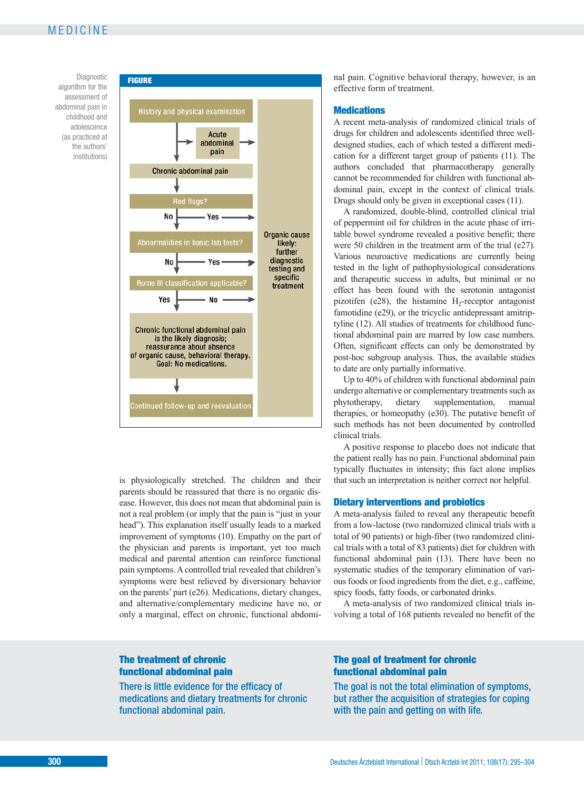# MEDICINE

algorithm for the assessment of abdominal pain in childhood and adolescence (as practiced at the authors' institutions)



is physiologically stretched. The children and their parents should be reassured that there is no organic disease. However, this does not mean that abdominal pain is not a real problem (or imply that the pain is "just in your head"). This explanation itself usually leads to a marked improvement of symptoms (10). Empathy on the part of the physician and parents is important, yet too much medical and parental attention can reinforce functional pain symptoms. A controlled trial revealed that children's symptoms were best relieved by diversionary behavior on the parents' part (e26). Medications, dietary changes, and alternative/complementary medicine have no, or only a marginal, effect on chronic, functional abdomi-

nal pain. Cognitive behavioral therapy, however, is an effective form of treatment.

## **Medications**

A recent meta-analysis of randomized clinical trials of drugs for children and adolescents identified three welldesigned studies, each of which tested a different medication for a different target group of patients (11). The authors concluded that pharmacotherapy generally cannot be recommended for children with functional abdominal pain, except in the context of clinical trials. Drugs should only be given in exceptional cases (11).

A randomized, double-blind, controlled clinical trial of peppermint oil for children in the acute phase of irritable bowel syndrome revealed a positive benefit; there were 50 children in the treatment arm of the trial (e27). Various neuroactive medications are currently being tested in the light of pathophysiological considerations and therapeutic success in adults, but minimal or no effect has been found with the serotonin antagonist pizotifen (e28), the histamine  $H_2$ -receptor antagonist famotidine (e29), or the tricyclic antidepressant amitriptyline (12). All studies of treatments for childhood functional abdominal pain are marred by low case numbers. Often, significant effects can only be demonstrated by post-hoc subgroup analysis. Thus, the available studies to date are only partially informative.

Up to 40% of children with functional abdominal pain undergo alternative or complementary treatments such as phytotherapy, dietary supplementation, manual therapies, or homeopathy (e30). The putative benefit of such methods has not been documented by controlled clinical trials.

A positive response to placebo does not indicate that the patient really has no pain. Functional abdominal pain typically fluctuates in intensity; this fact alone implies that such an interpretation is neither correct nor helpful.

## **Dietary interventions and probiotics**

A meta-analysis failed to reveal any therapeutic benefit from a low-lactose (two randomized clinical trials with a total of 90 patients) or high-fiber (two randomized clinical trials with a total of 83 patients) diet for children with functional abdominal pain (13). There have been no systematic studies of the temporary elimination of various foods or food ingredients from the diet, e.g., caffeine, spicy foods, fatty foods, or carbonated drinks.

A meta-analysis of two randomized clinical trials involving a total of 168 patients revealed no benefit of the

## **The treatment of chronic functional abdominal pain**

There is little evidence for the efficacy of medications and dietary treatments for chronic functional abdominal pain.

# **The goal of treatment for chronic functional abdominal pain**

The goal is not the total elimination of symptoms, but rather the acquisition of strategies for coping with the pain and getting on with life.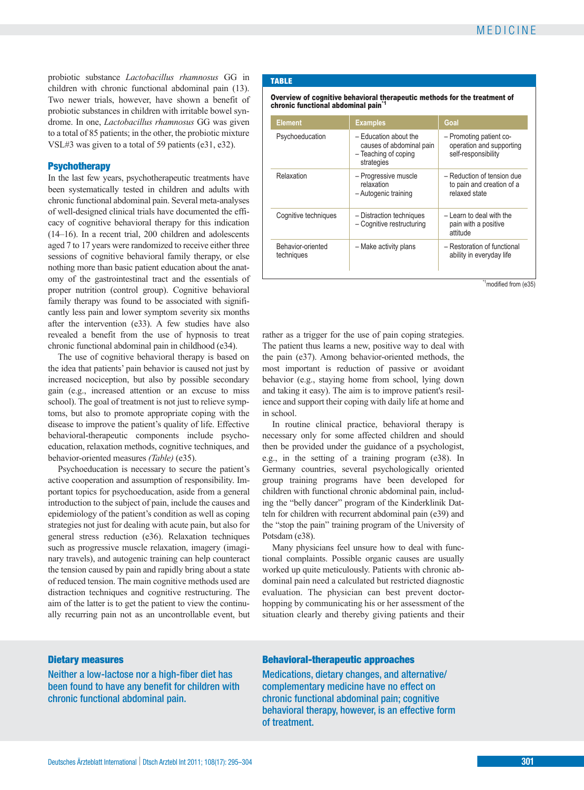probiotic substance *Lactobacillus rhamnosus* GG in children with chronic functional abdominal pain (13). Two newer trials, however, have shown a benefit of probiotic substances in children with irritable bowel syndrome. In one, *Lactobacillus rhamnosus* GG was given to a total of 85 patients; in the other, the probiotic mixture VSL#3 was given to a total of 59 patients (e31, e32).

## **Psychotherapy**

In the last few years, psychotherapeutic treatments have been systematically tested in children and adults with chronic functional abdominal pain. Several meta-analyses of well-designed clinical trials have documented the efficacy of cognitive behavioral therapy for this indication (14–16). In a recent trial, 200 children and adolescents aged 7 to 17 years were randomized to receive either three sessions of cognitive behavioral family therapy, or else nothing more than basic patient education about the anatomy of the gastrointestinal tract and the essentials of proper nutrition (control group). Cognitive behavioral family therapy was found to be associated with significantly less pain and lower symptom severity six months after the intervention (e33). A few studies have also revealed a benefit from the use of hypnosis to treat chronic functional abdominal pain in childhood (e34).

The use of cognitive behavioral therapy is based on the idea that patients' pain behavior is caused not just by increased nociception, but also by possible secondary gain (e.g., increased attention or an excuse to miss school). The goal of treatment is not just to relieve symptoms, but also to promote appropriate coping with the disease to improve the patient's quality of life. Effective behavioral-therapeutic components include psychoeducation, relaxation methods, cognitive techniques, and behavior-oriented measures *(Table)* (e35).

Psychoeducation is necessary to secure the patient's active cooperation and assumption of responsibility. Important topics for psychoeducation, aside from a general introduction to the subject of pain, include the causes and epidemiology of the patient's condition as well as coping strategies not just for dealing with acute pain, but also for general stress reduction (e36). Relaxation techniques such as progressive muscle relaxation, imagery (imaginary travels), and autogenic training can help counteract the tension caused by pain and rapidly bring about a state of reduced tension. The main cognitive methods used are distraction techniques and cognitive restructuring. The aim of the latter is to get the patient to view the continually recurring pain not as an uncontrollable event, but

#### **TABLE**

Overview of cognitive behavioral therapeutic methods for the treatment of chronic functional abdominal pain\*1

| <b>Element</b>                  | <b>Examples</b>                                                                         | Goal                                                                       |
|---------------------------------|-----------------------------------------------------------------------------------------|----------------------------------------------------------------------------|
| Psychoeducation                 | - Education about the<br>causes of abdominal pain<br>- Teaching of coping<br>strategies | - Promoting patient co-<br>operation and supporting<br>self-responsibility |
| Relaxation                      | - Progressive muscle<br>relaxation<br>- Autogenic training                              | - Reduction of tension due<br>to pain and creation of a<br>relaxed state   |
| Cognitive techniques            | - Distraction techniques<br>- Cognitive restructuring                                   | - Learn to deal with the<br>pain with a positive<br>attitude               |
| Behavior-oriented<br>techniques | - Make activity plans                                                                   | - Restoration of functional<br>ability in everyday life                    |
|                                 |                                                                                         | $*4$                                                                       |

modified from (e35)

rather as a trigger for the use of pain coping strategies. The patient thus learns a new, positive way to deal with the pain (e37). Among behavior-oriented methods, the most important is reduction of passive or avoidant behavior (e.g., staying home from school, lying down and taking it easy). The aim is to improve patient's resilience and support their coping with daily life at home and in school.

 In routine clinical practice, behavioral therapy is necessary only for some affected children and should then be provided under the guidance of a psychologist, e.g., in the setting of a training program (e38). In Germany countries, several psychologically oriented group training programs have been developed for children with functional chronic abdominal pain, including the "belly dancer" program of the Kinderklinik Datteln for children with recurrent abdominal pain (e39) and the "stop the pain" training program of the University of Potsdam (e38).

Many physicians feel unsure how to deal with functional complaints. Possible organic causes are usually worked up quite meticulously. Patients with chronic abdominal pain need a calculated but restricted diagnostic evaluation. The physician can best prevent doctor hopping by communicating his or her assessment of the situation clearly and thereby giving patients and their

## **Dietary measures**

Neither a low-lactose nor a high-fiber diet has been found to have any benefit for children with chronic functional abdominal pain.

## **Behavioral-therapeutic approaches**

 Medications, dietary changes, and alternative/ complementary medicine have no effect on chronic functional abdominal pain; cognitive behavioral therapy, however, is an effective form of treatment.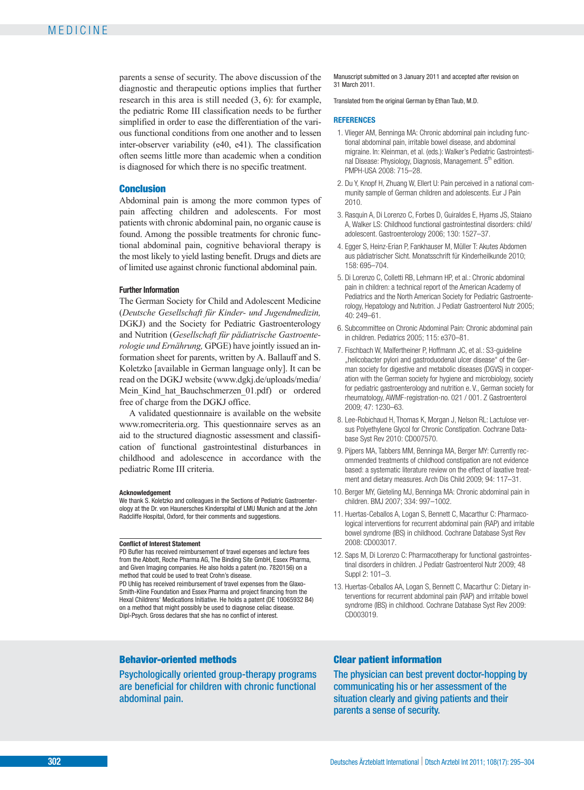parents a sense of security. The above discussion of the diagnostic and therapeutic options implies that further research in this area is still needed (3, 6): for example, the pediatric Rome III classification needs to be further simplified in order to ease the differentiation of the various functional conditions from one another and to lessen inter-observer variability (e40, e41). The classification often seems little more than academic when a condition is diagnosed for which there is no specific treatment.

## **Conclusion**

Abdominal pain is among the more common types of pain affecting children and adolescents. For most patients with chronic abdominal pain, no organic cause is found. Among the possible treatments for chronic functional abdominal pain, cognitive behavioral therapy is the most likely to yield lasting benefit. Drugs and diets are of limited use against chronic functional abdominal pain.

## **Further Information**

The German Society for Child and Adolescent Medicine (*Deutsche Gesellschaft für Kinder- und Jugendmedizin,* DGKJ) and the Society for Pediatric Gastroenterology and Nutrition (*Gesellschaft für pädiatrische Gastroenterologie und Ernährung,* GPGE) have jointly issued an information sheet for parents, written by A. Ballauff and S. Koletzko [available in German language only]. It can be read on the DGKJ website (www.dgkj.de/uploads/media/ Mein Kind hat Bauchschmerzen 01.pdf) or ordered free of charge from the DGKJ office.

A validated questionnaire is available on the website www.romecriteria.org. This questionnaire serves as an aid to the structured diagnostic assessment and classification of functional gastrointestinal disturbances in childhood and adolescence in accordance with the pediatric Rome III criteria.

#### **Acknowledgement**

We thank S. Koletzko and colleagues in the Sections of Pediatric Gastroenterology at the Dr. von Haunersches Kinderspital of LMU Munich and at the John Radcliffe Hospital, Oxford, for their comments and suggestions.

#### **Conflict of Interest Statement**

PD Bufler has received reimbursement of travel expenses and lecture fees from the Abbott, Roche Pharma AG, The Binding Site GmbH, Essex Pharma, and Given Imaging companies. He also holds a patent (no. 7820156) on a method that could be used to treat Crohn's disease.

PD Uhlig has received reimbursement of travel expenses from the Glaxo-Smith-Kline Foundation and Essex Pharma and project financing from the Hexal Childrens' Medications Initiative. He holds a patent (DE 10065932 B4) on a method that might possibly be used to diagnose celiac disease. Dipl-Psych. Gross declares that she has no conflict of interest.

## **Behavior-oriented methods**

Psychologically oriented group-therapy programs are beneficial for children with chronic functional abdominal pain.

Manuscript submitted on 3 January 2011 and accepted after revision on 31 March 2011.

Translated from the original German by Ethan Taub, M.D.

#### **REFERENCES**

- 1. Vlieger AM, Benninga MA: Chronic abdominal pain including functional abdominal pain, irritable bowel disease, and abdominal migraine. In: Kleinman, et al. (eds.): Walker's Pediatric Gastrointestinal Disease: Physiology, Diagnosis, Management. 5<sup>th</sup> edition. PMPH-USA 2008: 715–28.
- 2. Du Y, Knopf H, Zhuang W, Ellert U: Pain perceived in a national community sample of German children and adolescents. Eur J Pain 2010.
- 3. Rasquin A, Di Lorenzo C, Forbes D, Guiraldes E, Hyams JS, Staiano A, Walker LS: Childhood functional gastrointestinal disorders: child/ adolescent. Gastroenterology 2006; 130: 1527–37.
- 4. Egger S, Heinz-Erian P, Fankhauser M, Müller T: Akutes Abdomen aus pädiatrischer Sicht. Monatsschrift für Kinderheilkunde 2010; 158: 695–704.
- 5. Di Lorenzo C, Colletti RB, Lehmann HP, et al.: Chronic abdominal pain in children: a technical report of the American Academy of Pediatrics and the North American Society for Pediatric Gastroenterology, Hepatology and Nutrition. J Pediatr Gastroenterol Nutr 2005; 40: 249–61.
- 6. Subcommittee on Chronic Abdominal Pain: Chronic abdominal pain in children. Pediatrics 2005; 115: e370–81.
- 7. Fischbach W, Malfertheiner P, Hoffmann JC, et al.: S3-guideline "helicobacter pylori and gastroduodenal ulcer disease" of the German society for digestive and metabolic diseases (DGVS) in cooperation with the German society for hygiene and microbiology, society for pediatric gastroenterology and nutrition e. V., German society for rheumatology, AWMF-registration-no. 021 / 001. Z Gastroenterol 2009; 47: 1230–63.
- 8. Lee-Robichaud H, Thomas K, Morgan J, Nelson RL: Lactulose versus Polyethylene Glycol for Chronic Constipation. Cochrane Database Syst Rev 2010: CD007570.
- 9. Pijpers MA, Tabbers MM, Benninga MA, Berger MY: Currently recommended treatments of childhood constipation are not evidence based: a systematic literature review on the effect of laxative treatment and dietary measures. Arch Dis Child 2009; 94: 117–31.
- 10. Berger MY, Gieteling MJ, Benninga MA: Chronic abdominal pain in children. BMJ 2007; 334: 997–1002.
- 11. Huertas-Ceballos A, Logan S, Bennett C, Macarthur C: Pharmacological interventions for recurrent abdominal pain (RAP) and irritable bowel syndrome (IBS) in childhood. Cochrane Database Syst Rev 2008: CD003017.
- 12. Saps M, Di Lorenzo C: Pharmacotherapy for functional gastrointestinal disorders in children. J Pediatr Gastroenterol Nutr 2009; 48 Suppl 2: 101–3.
- 13. Huertas-Ceballos AA, Logan S, Bennett C, Macarthur C: Dietary interventions for recurrent abdominal pain (RAP) and irritable bowel syndrome (IBS) in childhood. Cochrane Database Syst Rev 2009: CD003019.

## **Clear patient information**

The physician can best prevent doctor-hopping by communicating his or her assessment of the situation clearly and giving patients and their parents a sense of security.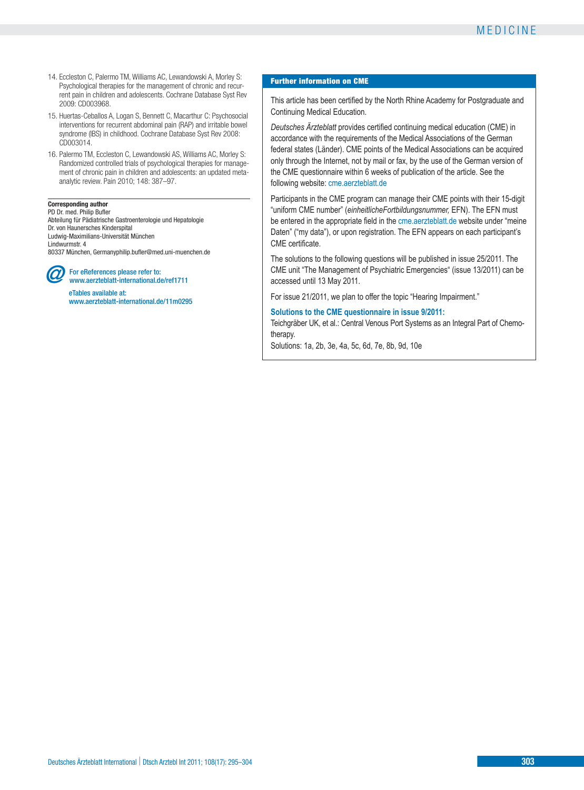- 14. Eccleston C, Palermo TM, Williams AC, Lewandowski A, Morley S: Psychological therapies for the management of chronic and recurrent pain in children and adolescents. Cochrane Database Syst Rev 2009: CD003968.
- 15. Huertas-Ceballos A, Logan S, Bennett C, Macarthur C: Psychosocial interventions for recurrent abdominal pain (RAP) and irritable bowel syndrome (IBS) in childhood. Cochrane Database Syst Rev 2008: CD003014.
- 16. Palermo TM, Eccleston C, Lewandowski AS, Williams AC, Morley S: Randomized controlled trials of psychological therapies for management of chronic pain in children and adolescents: an updated metaanalytic review. Pain 2010; 148: 387–97.

**Corresponding author** PD Dr. med. Philip Bufler

Abteilung für Pädiatrische Gastroenterologie und Hepatologie Dr. von Haunersches Kinderspital Ludwig-Maximilians-Universität München Lindwurmstr. 4 80337 München, Germanyphilip.bufler@med.uni-muenchen.de

*@* For eReferences please refer to: www.aerzteblatt-international.de/ref1711

eTables available at: www.aerzteblatt-international.de/11m0295

## **Further information on CME**

This article has been certified by the North Rhine Academy for Postgraduate and Continuing Medical Education.

*Deutsches Ärzteblatt* provides certified continuing medical education (CME) in accordance with the requirements of the Medical Associations of the German federal states (Länder). CME points of the Medical Associations can be acquired only through the Internet, not by mail or fax, by the use of the German version of the CME questionnaire within 6 weeks of publication of the article. See the following website: cme.aerzteblatt.de

Participants in the CME program can manage their CME points with their 15-digit "uniform CME number" (*einheitlicheFortbildungsnummer,* EFN). The EFN must be entered in the appropriate field in the cme.aerzteblatt.de website under "meine Daten" ("my data"), or upon registration. The EFN appears on each participant's CME certificate.

The solutions to the following questions will be published in issue 25/2011. The CME unit "The Management of Psychiatric Emergencies" (issue 13/2011) can be accessed until 13 May 2011.

For issue 21/2011, we plan to offer the topic "Hearing Impairment."

## **Solutions to the CME questionnaire in issue 9/2011:**

Teichgräber UK, et al.: Central Venous Port Systems as an Integral Part of Chemotherapy.

Solutions: 1a, 2b, 3e, 4a, 5c, 6d, 7e, 8b, 9d, 10e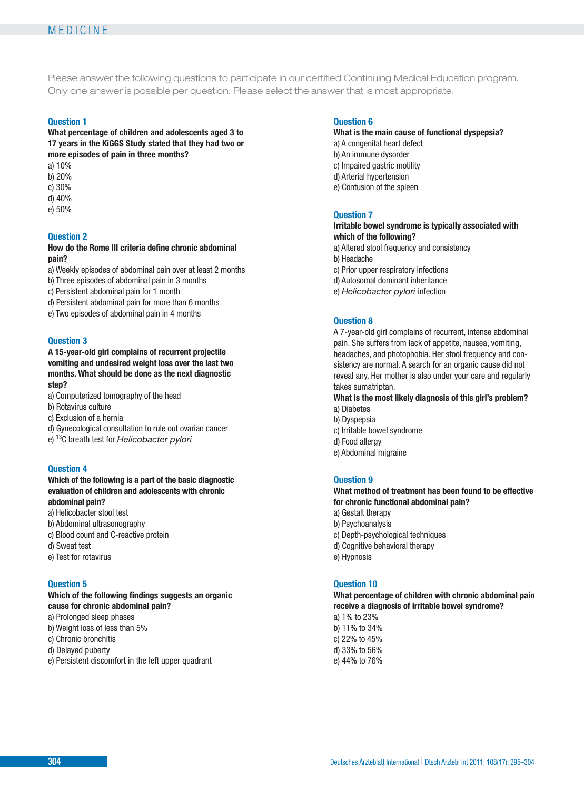# MEDICINE

Please answer the following questions to participate in our certified Continuing Medical Education program. Only one answer is possible per question. Please select the answer that is most appropriate.

## **Question 1**

**What percentage of children and adolescents aged 3 to 17 years in the KiGGS Study stated that they had two or more episodes of pain in three months?**

a) 10% b) 20%

- c) 30%
- d) 40%
- e) 50%
- 

## **Question 2**

## **How do the Rome III criteria define chronic abdominal pain?**

- a) Weekly episodes of abdominal pain over at least 2 months
- b) Three episodes of abdominal pain in 3 months
- c) Persistent abdominal pain for 1 month
- d) Persistent abdominal pain for more than 6 months
- e) Two episodes of abdominal pain in 4 months

## **Question 3**

**A 15-year-old girl complains of recurrent projectile vomiting and undesired weight loss over the last two months. What should be done as the next diagnostic step?**

- a) Computerized tomography of the head
- b) Rotavirus culture
- c) Exclusion of a hernia
- d) Gynecological consultation to rule out ovarian cancer
- e) 13C breath test for *Helicobacter pylori*

## **Question 4**

## **Which of the following is a part of the basic diagnostic evaluation of children and adolescents with chronic abdominal pain?**

- a) Helicobacter stool test
- b) Abdominal ultrasonography
- c) Blood count and C-reactive protein
- d) Sweat test
- e) Test for rotavirus

## **Question 5**

## **Which of the following findings suggests an organic cause for chronic abdominal pain?**

- a) Prolonged sleep phases
- b) Weight loss of less than 5%
- c) Chronic bronchitis
- d) Delayed puberty
- e) Persistent discomfort in the left upper quadrant

## **Question 6**

## **What is the main cause of functional dyspepsia?**  a) A congenital heart defect

b) An immune dysorder c) Impaired gastric motility d) Arterial hypertension e) Contusion of the spleen

## **Question 7**

## **Irritable bowel syndrome is typically associated with which of the following?**

- a) Altered stool frequency and consistency
- b) Headache
- c) Prior upper respiratory infections
- d) Autosomal dominant inheritance
- e) *Helicobacter pylori* infection

## **Question 8**

A 7-year-old girl complains of recurrent, intense abdominal pain. She suffers from lack of appetite, nausea, vomiting, headaches, and photophobia. Her stool frequency and consistency are normal. A search for an organic cause did not reveal any. Her mother is also under your care and regularly takes sumatriptan.

## **What is the most likely diagnosis of this girl's problem?** a) Diabetes

- b) Dyspepsia
- c) Irritable bowel syndrome
- d) Food allergy
- e) Abdominal migraine

## **Question 9**

## **What method of treatment has been found to be effective for chronic functional abdominal pain?**

- a) Gestalt therapy
- b) Psychoanalysis
- c) Depth-psychological techniques
- d) Cognitive behavioral therapy
- e) Hypnosis

## **Question 10**

## **What percentage of children with chronic abdominal pain receive a diagnosis of irritable bowel syndrome?** a) 1% to 23%

- b) 11% to 34% c) 22% to 45%
- d) 33% to 56%
- e) 44% to 76%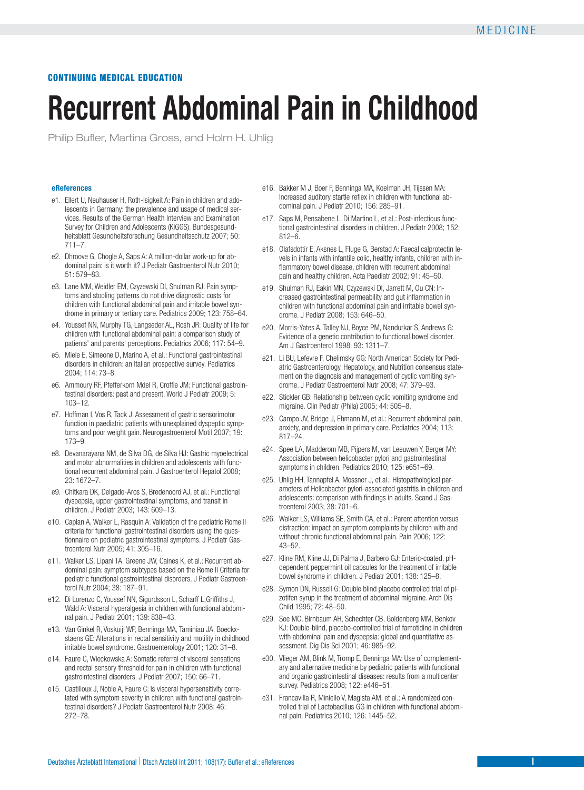# **CONTINUING MEDICAL EDUCATION**

# **Recurrent Abdominal Pain in Childhood**

Philip Bufler, Martina Gross, and Holm H. Uhlig

#### **eReferences**

- e1. Ellert U, Neuhauser H, Roth-Isigkeit A: Pain in children and adolescents in Germany: the prevalence and usage of medical services. Results of the German Health Interview and Examination Survey for Children and Adolescents (KiGGS). Bundesgesundheitsblatt Gesundheitsforschung Gesundheitsschutz 2007; 50: 711–7.
- e2. Dhroove G, Chogle A, Saps A: A million-dollar work-up for abdominal pain: is it worth it? J Pediatr Gastroenterol Nutr 2010; 51: 579–83.
- e3. Lane MM, Weidler EM, Czyzewski DI, Shulman RJ: Pain symptoms and stooling patterns do not drive diagnostic costs for children with functional abdominal pain and irritable bowel syndrome in primary or tertiary care. Pediatrics 2009; 123: 758–64.
- e4. Youssef NN, Murphy TG, Langseder AL, Rosh JR: Quality of life for children with functional abdominal pain: a comparison study of patients' and parents' perceptions. Pediatrics 2006; 117: 54–9.
- e5. Miele E, Simeone D, Marino A, et al.: Functional gastrointestinal disorders in children: an Italian prospective survey. Pediatrics 2004; 114: 73–8.
- e6. Ammoury RF, Pfefferkorn Mdel R, Croffie JM: Functional gastrointestinal disorders: past and present. World J Pediatr 2009; 5: 103–12.
- e7. Hoffman I, Vos R, Tack J: Assessment of gastric sensorimotor function in paediatric patients with unexplained dyspeptic symptoms and poor weight gain. Neurogastroenterol Motil 2007; 19: 173–9.
- e8. Devanarayana NM, de Silva DG, de Silva HJ: Gastric myoelectrical and motor abnormalities in children and adolescents with functional recurrent abdominal pain. J Gastroenterol Hepatol 2008; 23: 1672–7.
- e9. Chitkara DK, Delgado-Aros S, Bredenoord AJ, et al.: Functional dyspepsia, upper gastrointestinal symptoms, and transit in children. J Pediatr 2003; 143: 609–13.
- e10. Caplan A, Walker L, Rasquin A: Validation of the pediatric Rome II criteria for functional gastrointestinal disorders using the questionnaire on pediatric gastrointestinal symptoms. J Pediatr Gastroenterol Nutr 2005; 41: 305–16.
- e11. Walker LS, Lipani TA, Greene JW, Caines K, et al.: Recurrent abdominal pain: symptom subtypes based on the Rome II Criteria for pediatric functional gastrointestinal disorders. J Pediatr Gastroenterol Nutr 2004; 38: 187–91.
- e12. Di Lorenzo C, Youssef NN, Sigurdsson L, Scharff L,Griffiths J, Wald A: Visceral hyperalgesia in children with functional abdominal pain. J Pediatr 2001; 139: 838–43.
- e13. Van Ginkel R, Voskuijl WP, Benninga MA, Taminiau JA, Boeckxstaens GE: Alterations in rectal sensitivity and motility in childhood irritable bowel syndrome. Gastroenterology 2001; 120: 31–8.
- e14. Faure C, Wieckowska A: Somatic referral of visceral sensations and rectal sensory threshold for pain in children with functional gastrointestinal disorders. J Pediatr 2007; 150: 66–71.
- e15. Castilloux J, Noble A, Faure C: Is visceral hypersensitivity correlated with symptom severity in children with functional gastrointestinal disorders? J Pediatr Gastroenterol Nutr 2008: 46: 272–78.
- e16. Bakker M J, Boer F, Benninga MA, Koelman JH, Tijssen MA: Increased auditory startle reflex in children with functional abdominal pain. J Pediatr 2010; 156: 285–91.
- e17. Saps M, Pensabene L, Di Martino L, et al.: Post-infectious functional gastrointestinal disorders in children. J Pediatr 2008; 152: 812–6.
- e18. Olafsdottir E, Aksnes L, Fluge G, Berstad A: Faecal calprotectin levels in infants with infantile colic, healthy infants, children with inflammatory bowel disease, children with recurrent abdominal pain and healthy children. Acta Paediatr 2002; 91: 45–50.
- e19. Shulman RJ, Eakin MN, Czyzewski DI, Jarrett M, Ou CN: Increased gastrointestinal permeability and gut inflammation in children with functional abdominal pain and irritable bowel syndrome. J Pediatr 2008; 153: 646–50.
- e20. Morris-Yates A, Talley NJ, Boyce PM, Nandurkar S, Andrews G: Evidence of a genetic contribution to functional bowel disorder. Am J Gastroenterol 1998; 93: 1311–7.
- e21. Li BU, Lefevre F, Chelimsky GG: North American Society for Pediatric Gastroenterology, Hepatology, and Nutrition consensus statement on the diagnosis and management of cyclic vomiting syndrome. J Pediatr Gastroenterol Nutr 2008; 47: 379–93.
- e22. Stickler GB: Relationship between cyclic vomiting syndrome and migraine. Clin Pediatr (Phila) 2005; 44: 505–8.
- e23. Campo JV, Bridge J, Ehmann M, et al.: Recurrent abdominal pain, anxiety, and depression in primary care. Pediatrics 2004; 113: 817–24.
- e24. Spee LA, Madderom MB, Pijpers M, van Leeuwen Y, Berger MY: Association between helicobacter pylori and gastrointestinal symptoms in children. Pediatrics 2010; 125: e651–69.
- e25. Uhlig HH, Tannapfel A, Mossner J, et al.: Histopathological parameters of Helicobacter pylori-associated gastritis in children and adolescents: comparison with findings in adults. Scand J Gastroenterol 2003; 38: 701–6.
- e26. Walker LS, Williams SE, Smith CA, et al.: Parent attention versus distraction: impact on symptom complaints by children with and without chronic functional abdominal pain. Pain 2006; 122: 43–52.
- e27. Kline RM, Kline JJ, Di Palma J, Barbero GJ: Enteric-coated, pHdependent peppermint oil capsules for the treatment of irritable bowel syndrome in children. J Pediatr 2001; 138: 125–8.
- e28. Symon DN, Russell G: Double blind placebo controlled trial of pizotifen syrup in the treatment of abdominal migraine. Arch Dis Child 1995; 72: 48–50.
- e29. See MC, Birnbaum AH, Schechter CB, Goldenberg MM, Benkov KJ: Double-blind, placebo-controlled trial of famotidine in children with abdominal pain and dyspepsia: global and quantitative assessment. Dig Dis Sci 2001; 46: 985–92.
- e30. Vlieger AM, Blink M, Tromp E, Benninga MA: Use of complementary and alternative medicine by pediatric patients with functional and organic gastrointestinal diseases: results from a multicenter survey. Pediatrics 2008; 122: e446–51.
- e31. Francavilla R, Miniello V, Magista AM, et al.: A randomized controlled trial of Lactobacillus GG in children with functional abdominal pain. Pediatrics 2010; 126: 1445–52.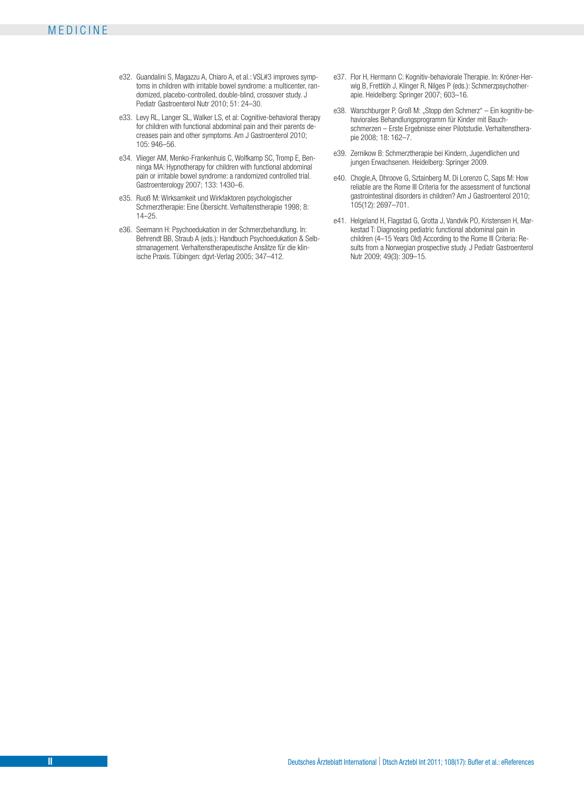- e32. Guandalini S, Magazzu A, Chiaro A, et al.: VSL#3 improves symptoms in children with irritable bowel syndrome: a multicenter, randomized, placebo-controlled, double-blind, crossover study. J Pediatr Gastroenterol Nutr 2010; 51: 24–30.
- e33. Levy RL, Langer SL, Walker LS, et al: Cognitive-behavioral therapy for children with functional abdominal pain and their parents decreases pain and other symptoms. Am J Gastroenterol 2010; 105: 946–56.
- e34. Vlieger AM, Menko-Frankenhuis C, Wolfkamp SC, Tromp E, Benninga MA: Hypnotherapy for children with functional abdominal pain or irritable bowel syndrome: a randomized controlled trial. Gastroenterology 2007; 133: 1430–6.
- e35. Ruoß M: Wirksamkeit und Wirkfaktoren psychologischer Schmerztherapie: Eine Übersicht. Verhaltenstherapie 1998; 8: 14–25.
- e36. Seemann H: Psychoedukation in der Schmerzbehandlung. In: Behrendt BB, Straub A (eds.): Handbuch Psychoedukation & Selbstmanagement. Verhaltenstherapeutische Ansätze für die klinische Praxis. Tübingen: dgvt-Verlag 2005; 347–412.
- e37. Flor H, Hermann C: Kognitiv-behaviorale Therapie. In: Kröner-Herwig B, Frettlöh J, Klinger R, Nilges P (eds.): Schmerzpsychotherapie. Heidelberg: Springer 2007; 603–16.
- e38. Warschburger P, Groß M: "Stopp den Schmerz" Ein kognitiv-behaviorales Behandlungsprogramm für Kinder mit Bauchschmerzen – Erste Ergebnisse einer Pilotstudie. Verhaltenstherapie 2008; 18: 162–7.
- e39. Zernikow B: Schmerztherapie bei Kindern, Jugendlichen und jungen Erwachsenen. Heidelberg: Springer 2009.
- e40. Chogle,A, Dhroove G, Sztainberg M, Di Lorenzo C, Saps M: How reliable are the Rome III Criteria for the assessment of functional gastrointestinal disorders in children? Am J Gastroenterol 2010; 105(12): 2697–701.
- e41. Helgeland H, Flagstad G, Grotta J, Vandvik PO, Kristensen H, Markestad T: Diagnosing pediatric functional abdominal pain in children (4–15 Years Old) According to the Rome III Criteria: Results from a Norwegian prospective study. J Pediatr Gastroenterol Nutr 2009; 49(3): 309–15.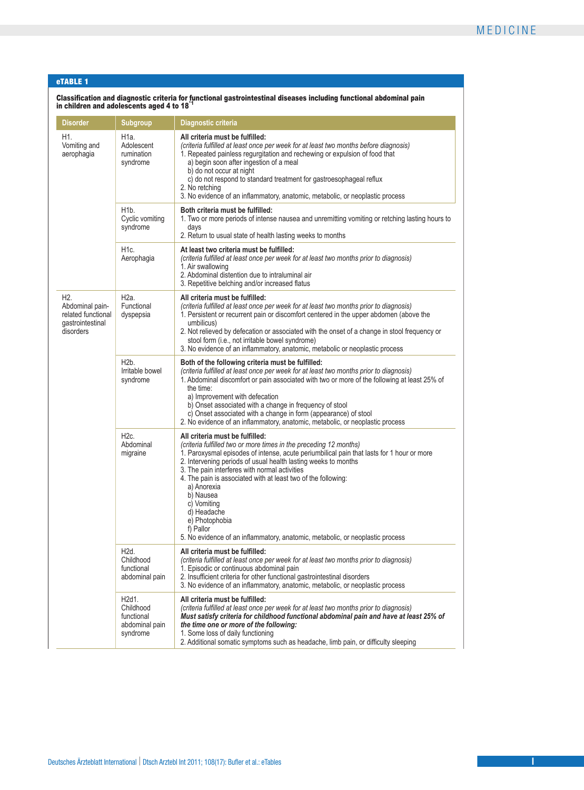# eTABLE 1

Classification and diagnostic criteria for functional gastrointestinal diseases including functional abdominal pain<br>in children and adolescents aged 4 to 18<sup>\*1</sup>

| <b>Disorder</b>                                                               | <b>Subgroup</b>                                                | Diagnostic criteria                                                                                                                                                                                                                                                                                                                                                                                                                                                                                                                                             |  |
|-------------------------------------------------------------------------------|----------------------------------------------------------------|-----------------------------------------------------------------------------------------------------------------------------------------------------------------------------------------------------------------------------------------------------------------------------------------------------------------------------------------------------------------------------------------------------------------------------------------------------------------------------------------------------------------------------------------------------------------|--|
| H1.<br>Vomiting and<br>aerophagia                                             | H1a.<br>Adolescent<br>rumination<br>syndrome                   | All criteria must be fulfilled:<br>(criteria fulfilled at least once per week for at least two months before diagnosis)<br>1. Repeated painless regurgitation and rechewing or expulsion of food that<br>a) begin soon after ingestion of a meal<br>b) do not occur at night<br>c) do not respond to standard treatment for gastroesophageal reflux<br>2. No retching<br>3. No evidence of an inflammatory, anatomic, metabolic, or neoplastic process                                                                                                          |  |
|                                                                               | H <sub>1</sub> b.<br>Cyclic vomiting<br>syndrome               | Both criteria must be fulfilled:<br>1. Two or more periods of intense nausea and unremitting vomiting or retching lasting hours to<br>days<br>2. Return to usual state of health lasting weeks to months                                                                                                                                                                                                                                                                                                                                                        |  |
|                                                                               | H1c.<br>Aerophagia                                             | At least two criteria must be fulfilled:<br>(criteria fulfilled at least once per week for at least two months prior to diagnosis)<br>1. Air swallowing<br>2. Abdominal distention due to intraluminal air<br>3. Repetitive belching and/or increased flatus                                                                                                                                                                                                                                                                                                    |  |
| H2.<br>Abdominal pain-<br>related functional<br>gastrointestinal<br>disorders | H2a.<br>Functional<br>dyspepsia                                | All criteria must be fulfilled:<br>(criteria fulfilled at least once per week for at least two months prior to diagnosis)<br>1. Persistent or recurrent pain or discomfort centered in the upper abdomen (above the<br>umbilicus)<br>2. Not relieved by defecation or associated with the onset of a change in stool frequency or<br>stool form (i.e., not irritable bowel syndrome)<br>3. No evidence of an inflammatory, anatomic, metabolic or neoplastic process                                                                                            |  |
|                                                                               | H2b.<br>Irritable bowel<br>syndrome                            | Both of the following criteria must be fulfilled:<br>(criteria fulfilled at least once per week for at least two months prior to diagnosis)<br>1. Abdominal discomfort or pain associated with two or more of the following at least 25% of<br>the time:<br>a) Improvement with defecation<br>b) Onset associated with a change in frequency of stool<br>c) Onset associated with a change in form (appearance) of stool<br>2. No evidence of an inflammatory, anatomic, metabolic, or neoplastic process                                                       |  |
|                                                                               | H <sub>2c</sub> .<br>Abdominal<br>migraine                     | All criteria must be fulfilled:<br>(criteria fulfilled two or more times in the preceding 12 months)<br>1. Paroxysmal episodes of intense, acute periumbilical pain that lasts for 1 hour or more<br>2. Intervening periods of usual health lasting weeks to months<br>3. The pain interferes with normal activities<br>4. The pain is associated with at least two of the following:<br>a) Anorexia<br>b) Nausea<br>c) Vomiting<br>d) Headache<br>e) Photophobia<br>f) Pallor<br>5. No evidence of an inflammatory, anatomic, metabolic, or neoplastic process |  |
|                                                                               | H2d.<br>Childhood<br>functional<br>abdominal pain              | All criteria must be fulfilled:<br>(criteria fulfilled at least once per week for at least two months prior to diagnosis)<br>1. Episodic or continuous abdominal pain<br>2. Insufficient criteria for other functional gastrointestinal disorders<br>3. No evidence of an inflammatory, anatomic, metabolic, or neoplastic process                                                                                                                                                                                                                              |  |
|                                                                               | H2d1.<br>Childhood<br>functional<br>abdominal pain<br>syndrome | All criteria must be fulfilled:<br>(criteria fulfilled at least once per week for at least two months prior to diagnosis)<br>Must satisfy criteria for childhood functional abdominal pain and have at least 25% of<br>the time one or more of the following:<br>1. Some loss of daily functioning<br>2. Additional somatic symptoms such as headache, limb pain, or difficulty sleeping                                                                                                                                                                        |  |